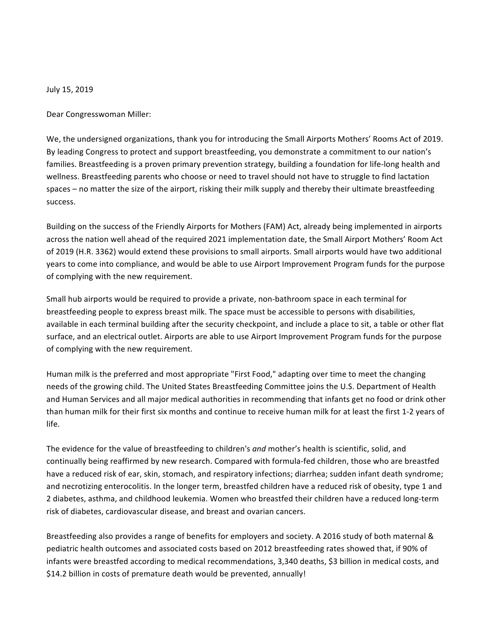July 15, 2019

Dear Congresswoman Miller:

We, the undersigned organizations, thank you for introducing the Small Airports Mothers' Rooms Act of 2019. By leading Congress to protect and support breastfeeding, you demonstrate a commitment to our nation's families. Breastfeeding is a proven primary prevention strategy, building a foundation for life-long health and wellness. Breastfeeding parents who choose or need to travel should not have to struggle to find lactation spaces – no matter the size of the airport, risking their milk supply and thereby their ultimate breastfeeding success.

Building on the success of the Friendly Airports for Mothers (FAM) Act, already being implemented in airports across the nation well ahead of the required 2021 implementation date, the Small Airport Mothers' Room Act of 2019 (H.R. 3362) would extend these provisions to small airports. Small airports would have two additional years to come into compliance, and would be able to use Airport Improvement Program funds for the purpose of complying with the new requirement.

Small hub airports would be required to provide a private, non-bathroom space in each terminal for breastfeeding people to express breast milk. The space must be accessible to persons with disabilities, available in each terminal building after the security checkpoint, and include a place to sit, a table or other flat surface, and an electrical outlet. Airports are able to use Airport Improvement Program funds for the purpose of complying with the new requirement.

Human milk is the preferred and most appropriate "First Food," adapting over time to meet the changing needs of the growing child. The United States Breastfeeding Committee joins the U.S. Department of Health and Human Services and all major medical authorities in recommending that infants get no food or drink other than human milk for their first six months and continue to receive human milk for at least the first 1-2 years of life.

The evidence for the value of breastfeeding to children's and mother's health is scientific, solid, and continually being reaffirmed by new research. Compared with formula-fed children, those who are breastfed have a reduced risk of ear, skin, stomach, and respiratory infections; diarrhea; sudden infant death syndrome; and necrotizing enterocolitis. In the longer term, breastfed children have a reduced risk of obesity, type 1 and 2 diabetes, asthma, and childhood leukemia. Women who breastfed their children have a reduced long-term risk of diabetes, cardiovascular disease, and breast and ovarian cancers.

Breastfeeding also provides a range of benefits for employers and society. A 2016 study of both maternal & pediatric health outcomes and associated costs based on 2012 breastfeeding rates showed that, if 90% of infants were breastfed according to medical recommendations, 3,340 deaths, \$3 billion in medical costs, and \$14.2 billion in costs of premature death would be prevented, annually!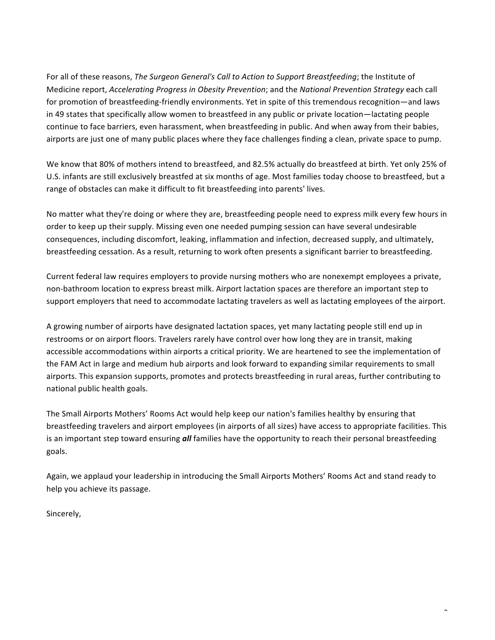For all of these reasons, *The Surgeon General's Call to Action to Support Breastfeeding*; the Institute of Medicine report, *Accelerating Progress in Obesity Prevention*; and the *National Prevention Strategy* each call for promotion of breastfeeding-friendly environments. Yet in spite of this tremendous recognition—and laws in 49 states that specifically allow women to breastfeed in any public or private location—lactating people continue to face barriers, even harassment, when breastfeeding in public. And when away from their babies, airports are just one of many public places where they face challenges finding a clean, private space to pump.

We know that 80% of mothers intend to breastfeed, and 82.5% actually do breastfeed at birth. Yet only 25% of U.S. infants are still exclusively breastfed at six months of age. Most families today choose to breastfeed, but a range of obstacles can make it difficult to fit breastfeeding into parents' lives.

No matter what they're doing or where they are, breastfeeding people need to express milk every few hours in order to keep up their supply. Missing even one needed pumping session can have several undesirable consequences, including discomfort, leaking, inflammation and infection, decreased supply, and ultimately, breastfeeding cessation. As a result, returning to work often presents a significant barrier to breastfeeding.

Current federal law requires employers to provide nursing mothers who are nonexempt employees a private, non-bathroom location to express breast milk. Airport lactation spaces are therefore an important step to support employers that need to accommodate lactating travelers as well as lactating employees of the airport.

A growing number of airports have designated lactation spaces, yet many lactating people still end up in restrooms or on airport floors. Travelers rarely have control over how long they are in transit, making accessible accommodations within airports a critical priority. We are heartened to see the implementation of the FAM Act in large and medium hub airports and look forward to expanding similar requirements to small airports. This expansion supports, promotes and protects breastfeeding in rural areas, further contributing to national public health goals.

The Small Airports Mothers' Rooms Act would help keep our nation's families healthy by ensuring that breastfeeding travelers and airport employees (in airports of all sizes) have access to appropriate facilities. This is an important step toward ensuring *all* families have the opportunity to reach their personal breastfeeding goals.

Again, we applaud your leadership in introducing the Small Airports Mothers' Rooms Act and stand ready to help you achieve its passage.

 $\overline{\phantom{0}}$ 

Sincerely,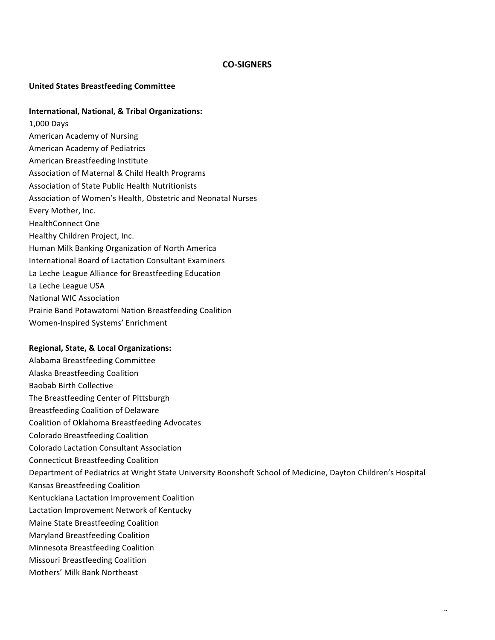## **CO-SIGNERS**

## **United States Breastfeeding Committee**

## **International, National, & Tribal Organizations:**

1,000 Days American Academy of Nursing American Academy of Pediatrics American Breastfeeding Institute Association of Maternal & Child Health Programs Association of State Public Health Nutritionists Association of Women's Health, Obstetric and Neonatal Nurses Every Mother, Inc. HealthConnect One Healthy Children Project, Inc. Human Milk Banking Organization of North America International Board of Lactation Consultant Examiners La Leche League Alliance for Breastfeeding Education La Leche League USA **National WIC Association** Prairie Band Potawatomi Nation Breastfeeding Coalition Women-Inspired Systems' Enrichment

## **Regional, State, & Local Organizations:**

Alabama Breastfeeding Committee Alaska Breastfeeding Coalition Baobab Birth Collective The Breastfeeding Center of Pittsburgh Breastfeeding Coalition of Delaware Coalition of Oklahoma Breastfeeding Advocates Colorado Breastfeeding Coalition Colorado Lactation Consultant Association Connecticut Breastfeeding Coalition Department of Pediatrics at Wright State University Boonshoft School of Medicine, Dayton Children's Hospital Kansas Breastfeeding Coalition Kentuckiana Lactation Improvement Coalition Lactation Improvement Network of Kentucky Maine State Breastfeeding Coalition Maryland Breastfeeding Coalition Minnesota Breastfeeding Coalition **Missouri Breastfeeding Coalition** Mothers' Milk Bank Northeast

 $\overline{\phantom{0}}$